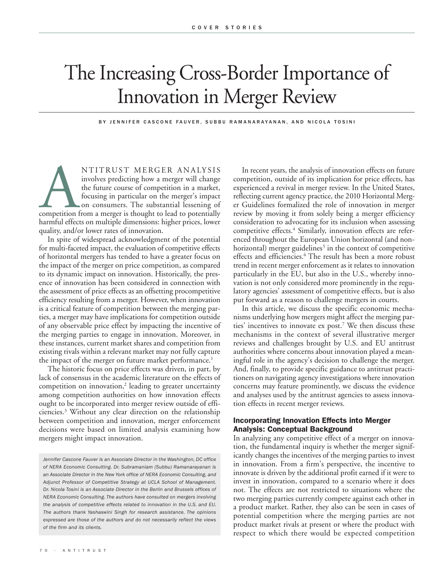# The Increasing Cross-Border Importance of Innovation in Merger Review

BY JENNIFER CASCONE FAUVER, SUBBU RAMANARAYANAN, AND NICOLA TOSINI

NTITRUST MERGER ANALYSIS<br>
involves predicting how a merger will change<br>
the future course of competition in a market,<br>
focusing in particular on the merger's impact<br>
on consumers. The substantial lessening of<br>
competition involves predicting how a merger will change the future course of competition in a market, focusing in particular on the merger's impact on consumers. The substantial lessening of harmful effects on multiple dimensions: higher prices, lower quality, and/or lower rates of innovation.

In spite of widespread acknowledgment of the potential for multi-faceted impact, the evaluation of competitive effects of horizontal mergers has tended to have a greater focus on the impact of the merger on price competition, as compared to its dynamic impact on innovation. Historically, the presence of innovation has been considered in connection with the assessment of price effects as an offsetting procompetitive efficiency resulting from a merger. However, when innovation is a critical feature of competition between the merging parties, a merger may have implications for competition outside of any observable price effect by impacting the incentive of the merging parties to engage in innovation. Moreover, in these instances, current market shares and competition from existing rivals within a relevant market may not fully capture the impact of the merger on future market performance.<sup>1</sup>

The historic focus on price effects was driven, in part, by lack of consensus in the academic literature on the effects of competition on innovation, $2$  leading to greater uncertainty among competition authorities on how innovation effects ought to be incorporated into merger review outside of efficiencies.3 Without any clear direction on the relationship between competition and innovation, merger enforcement decisions were based on limited analysis examining how mergers might impact innovation.

In recent years, the analysis of innovation effects on future competition, outside of its implication for price effects, has experienced a revival in merger review. In the United States, reflecting current agency practice, the 2010 Horizontal Merger Guidelines formalized the role of innovation in merger review by moving it from solely being a merger efficiency consideration to advocating for its inclusion when assessing competitive effects.<sup>4</sup> Similarly, innovation effects are referenced throughout the European Union horizontal (and nonhorizontal) merger guidelines<sup>5</sup> in the context of competitive effects and efficiencies.<sup>6</sup> The result has been a more robust trend in recent merger enforcement as it relates to innovation particularly in the EU, but also in the U.S., whereby innovation is not only considered more prominently in the regulatory agencies' assessment of competitive effects, but is also put forward as a reason to challenge mergers in courts.

In this article, we discuss the specific economic mechanisms underlying how mergers might affect the merging parties' incentives to innovate ex post.<sup>7</sup> We then discuss these mechanisms in the context of several illustrative merger reviews and challenges brought by U.S. and EU antitrust authorities where concerns about innovation played a meaningful role in the agency's decision to challenge the merger. And, finally, to provide specific guidance to antitrust practitioners on navigating agency investigations where innovation concerns may feature prominently, we discuss the evidence and analyses used by the antitrust agencies to assess innovation effects in recent merger reviews.

### **Incorporating Innovation Effects into Merger Analysis: Conceptual Background**

In analyzing any competitive effect of a merger on innovation, the fundamental inquiry is whether the merger significantly changes the incentives of the merging parties to invest in innovation. From a firm's perspective, the incentive to innovate is driven by the additional profit earned if it were to invest in innovation, compared to a scenario where it does not. The effects are not restricted to situations where the two merging parties currently compete against each other in a product market. Rather, they also can be seen in cases of potential competition where the merging parties are not product market rivals at present or where the product with respect to which there would be expected competition

*Jennifer Cascone Fauver is an Associate Director in the Washington, DC office of NERA Economic Consulting. Dr. Subramaniam (Subbu) Ramanarayanan is an Associate Director in the New York office of NERA Economic Consulting, and Adjunct Professor of Competitive Strategy at UCLA School of Management. Dr. Nicola Tosini is an Associate Director in the Berlin and Brussels offices of NERA Economic Consulting. The authors have consulted on mergers involving the analysis of competitive effects related to innovation in the U.S. and EU. The authors thank Yashaswini Singh for research assistance. The opinions expressed are those of the authors and do not necessarily reflect the views of the firm and its clients.*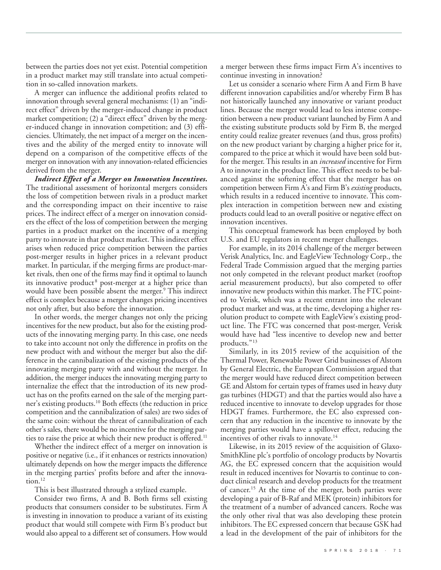between the parties does not yet exist. Potential competition in a product market may still translate into actual competition in so-called innovation markets.

A merger can influence the additional profits related to innovation through several general mechanisms: (1) an "indirect effect" driven by the merger-induced change in product market competition; (2) a "direct effect" driven by the merger-induced change in innovation competition; and (3) efficiencies. Ultimately, the net impact of a merger on the incentives and the ability of the merged entity to innovate will depend on a comparison of the competitive effects of the merger on innovation with any innovation-related efficiencies derived from the merger.

*Indirect Effect of a Merger on Innovation Incentives.* The traditional assessment of horizontal mergers considers the loss of competition between rivals in a product market and the corresponding impact on their incentive to raise prices. The indirect effect of a merger on innovation considers the effect of the loss of competition between the merging parties in a product market on the incentive of a merging party to innovate in that product market. This indirect effect arises when reduced price competition between the parties post-merger results in higher prices in a relevant product market. In particular, if the merging firms are product-market rivals, then one of the firms may find it optimal to launch its innovative product<sup>8</sup> post-merger at a higher price than would have been possible absent the merger.<sup>9</sup> This indirect effect is complex because a merger changes pricing incentives not only after, but also before the innovation.

In other words, the merger changes not only the pricing incentives for the new product, but also for the existing products of the innovating merging party. In this case, one needs to take into account not only the difference in profits on the new product with and without the merger but also the difference in the cannibalization of the existing products of the innovating merging party with and without the merger. In addition, the merger induces the innovating merging party to internalize the effect that the introduction of its new product has on the profits earned on the sale of the merging partner's existing products.10 Both effects (the reduction in price competition and the cannibalization of sales) are two sides of the same coin: without the threat of cannibalization of each other's sales, there would be no incentive for the merging parties to raise the price at which their new product is offered.<sup>11</sup>

Whether the indirect effect of a merger on innovation is positive or negative (i.e., if it enhances or restricts innovation) ultimately depends on how the merger impacts the difference in the merging parties' profits before and after the innovation.<sup>12</sup>

This is best illustrated through a stylized example.

Consider two firms, A and B. Both firms sell existing products that consumers consider to be substitutes. Firm A is investing in innovation to produce a variant of its existing product that would still compete with Firm B's product but would also appeal to a different set of consumers. How would

a merger between these firms impact Firm A's incentives to continue investing in innovation?

Let us consider a scenario where Firm A and Firm B have different innovation capabilities and/or whereby Firm B has not historically launched any innovative or variant product lines. Because the merger would lead to less intense competition between a new product variant launched by Firm A and the existing substitute products sold by Firm B, the merged entity could realize greater revenues (and thus, gross profits) on the new product variant by charging a higher price for it, compared to the price at which it would have been sold butfor the merger. This results in an *increased* incentive for Firm A to innovate in the product line. This effect needs to be balanced against the softening effect that the merger has on competition between Firm A's and Firm B's *existing* products, which results in a reduced incentive to innovate. This complex interaction in competition between new and existing products could lead to an overall positive or negative effect on innovation incentives.

This conceptual framework has been employed by both U.S. and EU regulators in recent merger challenges.

For example, in its 2014 challenge of the merger between Verisk Analytics, Inc. and EagleView Technology Corp., the Federal Trade Commission argued that the merging parties not only competed in the relevant product market (rooftop aerial measurement products), but also competed to offer innovative new products within this market. The FTC pointed to Verisk, which was a recent entrant into the relevant product market and was, at the time, developing a higher resolution product to compete with EagleView's existing product line. The FTC was concerned that post-merger, Verisk would have had "less incentive to develop new and better products."13

Similarly, in its 2015 review of the acquisition of the Thermal Power, Renewable Power Grid businesses of Alstom by General Electric, the European Commission argued that the merger would have reduced direct competition between GE and Alstom for certain types of frames used in heavy duty gas turbines (HDGT) and that the parties would also have a reduced incentive to innovate to develop upgrades for those HDGT frames. Furthermore, the EC also expressed concern that any reduction in the incentive to innovate by the merging parties would have a spillover effect, reducing the incentives of other rivals to innovate.<sup>14</sup>

Likewise, in its 2015 review of the acquisition of Glaxo-SmithKline plc's portfolio of oncology products by Novartis AG, the EC expressed concern that the acquisition would result in reduced incentives for Novartis to continue to conduct clinical research and develop products for the treatment of cancer.<sup>15</sup> At the time of the merger, both parties were developing a pair of B-Raf and MEK (protein) inhibitors for the treatment of a number of advanced cancers. Roche was the only other rival that was also developing these protein inhibitors. The EC expressed concern that because GSK had a lead in the development of the pair of inhibitors for the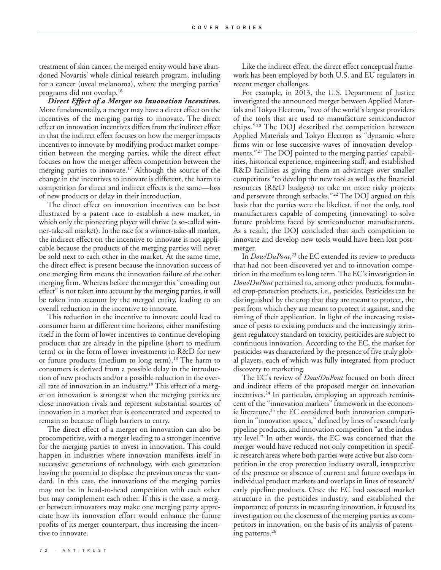treatment of skin cancer, the merged entity would have abandoned Novartis' whole clinical research program, including for a cancer (uveal melanoma), where the merging parties' programs did not overlap.16

*Direct Effect of a Merger on Innovation Incentives.* More fundamentally, a merger may have a direct effect on the incentives of the merging parties to innovate. The direct effect on innovation incentives differs from the indirect effect in that the indirect effect focuses on how the merger impacts incentives to innovate by modifying product market competition between the merging parties, while the direct effect focuses on how the merger affects competition between the merging parties to innovate.<sup>17</sup> Although the source of the change in the incentives to innovate is different, the harm to competition for direct and indirect effects is the same—loss of new products or delay in their introduction.

The direct effect on innovation incentives can be best illustrated by a patent race to establish a new market, in which only the pioneering player will thrive (a so-called winner-take-all market). In the race for a winner-take-all market, the indirect effect on the incentive to innovate is not applicable because the products of the merging parties will never be sold next to each other in the market. At the same time, the direct effect is present because the innovation success of one merging firm means the innovation failure of the other merging firm. Whereas before the merger this "crowding out effect" is not taken into account by the merging parties, it will be taken into account by the merged entity, leading to an overall reduction in the incentive to innovate.

This reduction in the incentive to innovate could lead to consumer harm at different time horizons, either manifesting itself in the form of lower incentives to continue developing products that are already in the pipeline (short to medium term) or in the form of lower investments in R&D for new or future products (medium to long term).<sup>18</sup> The harm to consumers is derived from a possible delay in the introduction of new products and/or a possible reduction in the overall rate of innovation in an industry.<sup>19</sup> This effect of a merger on innovation is strongest when the merging parties are close innovation rivals and represent substantial sources of innovation in a market that is concentrated and expected to remain so because of high barriers to entry.

The direct effect of a merger on innovation can also be procompetitive, with a merger leading to a stronger incentive for the merging parties to invest in innovation. This could happen in industries where innovation manifests itself in successive generations of technology, with each generation having the potential to displace the previous one as the standard. In this case, the innovations of the merging parties may not be in head-to-head competition with each other but may complement each other. If this is the case, a merger between innovators may make one merging party appreciate how its innovation effort would enhance the future profits of its merger counterpart, thus increasing the incentive to innovate.

Like the indirect effect, the direct effect conceptual framework has been employed by both U.S. and EU regulators in recent merger challenges.

For example, in 2013, the U.S. Department of Justice investigated the announced merger between Applied Mater ials and Tokyo Electron, "two of the world's largest providers of the tools that are used to manufacture semiconductor chips." <sup>20</sup> The DOJ described the competition between Applied Materials and Tokyo Electron as "dynamic where firms win or lose successive waves of innovation developments."21 The DOJ pointed to the merging parties' capabilities, historical experience, engineering staff, and established R&D facilities as giving them an advantage over smaller competitors "to develop the new tool as well as the financial resources (R&D budgets) to take on more risky projects and persevere through setbacks."22 The DOJ argued on this basis that the parties were the likeliest, if not the only, tool manufacturers capable of competing (innovating) to solve future problems faced by semiconductor manufacturers. As a result, the DOJ concluded that such competition to innovate and develop new tools would have been lost postmerger.

In *Dow/DuPont*, <sup>23</sup> the EC extended its review to products that had not been discovered yet and to innovation competition in the medium to long term. The EC's investigation in *Dow/DuPont* pertained to, among other products, formulated crop-protection products, i.e., pesticides. Pesticides can be distinguished by the crop that they are meant to protect, the pest from which they are meant to protect it against, and the timing of their application. In light of the increasing resistance of pests to existing products and the increasingly stringent regulatory standard on toxicity, pesticides are subject to continuous innovation. According to the EC, the market for pesticides was characterized by the presence of five truly global players, each of which was fully integrated from product discovery to marketing.

The EC's review of *Dow/DuPont* focused on both direct and indirect effects of the proposed merger on innovation incentives.<sup>24</sup> In particular, employing an approach reminiscent of the "innovation markets" framework in the economic literature,<sup>25</sup> the EC considered both innovation competition in "innovation spaces," defined by lines of research/early pipeline products, and innovation competition "at the industry level." In other words, the EC was concerned that the merger would have reduced not only competition in specific research areas where both parties were active but also competition in the crop protection industry overall, irrespective of the presence or absence of current and future overlaps in individual product markets and overlaps in lines of research/ early pipeline products. Once the EC had assessed market structure in the pesticides industry, and established the importance of patents in measuring innovation, it focused its investigation on the closeness of the merging parties as competitors in innovation, on the basis of its analysis of patenting patterns.<sup>26</sup>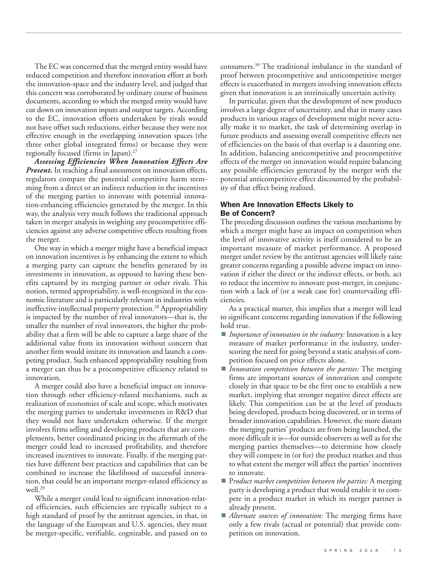The EC was concerned that the merged entity would have reduced competition and therefore innovation effort at both the innovation-space and the industry level, and judged that this concern was corroborated by ordinary course of business documents, according to which the merged entity would have cut down on innovation inputs and output targets. According to the EC, innovation efforts undertaken by rivals would not have offset such reductions, either because they were not effective enough in the overlapping innovation spaces (the three other global integrated firms) or because they were regionally focused (firms in Japan).<sup>27</sup>

*Assessing Efficiencies When Innovation Effects Are Present*. In reaching a final assessment on innovation effects, regulators compare the potential competitive harm stemming from a direct or an indirect reduction in the incentives of the merging parties to innovate with potential innovation-enhancing efficiencies generated by the merger. In this way, the analysis very much follows the traditional approach taken in merger analysis in weighing any procompetitive efficiencies against any adverse competitive effects resulting from the merger.

One way in which a merger might have a beneficial impact on innovation incentives is by enhancing the extent to which a merging party can capture the benefits generated by its investments in innovation, as opposed to having these benefits captured by its merging partner or other rivals. This notion, termed appropriability, is well-recognized in the economic literature and is particularly relevant in industries with ineffective intellectual property protection.<sup>28</sup> Appropriability is impacted by the number of rival innovators––that is, the smaller the number of rival innovators, the higher the probability that a firm will be able to capture a large share of the additional value from its innovation without concern that another firm would imitate its innovation and launch a competing product. Such enhanced appropriability resulting from a merger can thus be a procompetitive efficiency related to innovation.

A merger could also have a beneficial impact on innovation through other efficiency-related mechanisms, such as realization of economies of scale and scope, which motivates the merging parties to undertake investments in R&D that they would not have undertaken otherwise. If the merger involves firms selling and developing products that are complements, better coordinated pricing in the aftermath of the merger could lead to increased profitability, and therefore increased incentives to innovate. Finally, if the merging parties have different best practices and capabilities that can be combined to increase the likelihood of successful innovation, that could be an important merger-related efficiency as well.29

While a merger could lead to significant innovation-related efficiencies, such efficiencies are typically subject to a high standard of proof by the antitrust agencies, in that, in the language of the European and U.S. agencies, they must be merger-specific, verifiable, cognizable, and passed on to

consumers.30 The traditional imbalance in the standard of proof between procompetitive and anticompetitive merger effects is exacerbated in mergers involving innovation effects given that innovation is an intrinsically uncertain activity.

In particular, given that the development of new products involves a large degree of uncertainty, and that in many cases products in various stages of development might never actually make it to market, the task of determining overlap in future products and assessing overall competitive effects net of efficiencies on the basis of that overlap is a daunting one. In addition, balancing anticompetitive and procompetitive effects of the merger on innovation would require balancing any possible efficiencies generated by the merger with the potential anticompetitive effect discounted by the probability of that effect being realized.

#### **When Are Innovation Effects Likely to Be of Concern?**

The preceding discussion outlines the various mechanisms by which a merger might have an impact on competition when the level of innovative activity is itself considered to be an important measure of market performance. A proposed merger under review by the antitrust agencies will likely raise greater concerns regarding a possible adverse impact on innovation if either the direct or the indirect effects, or both, act to reduce the incentive to innovate post-merger, in conjunction with a lack of (or a weak case for) countervailing efficiencies.

As a practical matter, this implies that a merger will lead to significant concerns regarding innovation if the following hold true.

- *Importance of innovation in the industry:* Innovation is a key measure of market performance in the industry, underscoring the need for going beyond a static analysis of competition focused on price effects alone.
- *Innovation competition between the parties:* The merging firms are important sources of innovation and compete closely in that space to be the first one to establish a new market, implying that stronger negative direct effects are likely. This competition can be at the level of products being developed, products being discovered, or in terms of broader innovation capabilities. However, the more distant the merging parties' products are from being launched, the more difficult it is—for outside observers as well as for the merging parties themselves—to determine how closely they will compete in (or for) the product market and thus to what extent the merger will affect the parties' incentives to innovate.
- Product market competition between the parties: A merging party is developing a product that would enable it to compete in a product market in which its merger partner is already present.
- *Alternate sources of innovation:* The merging firms have only a few rivals (actual or potential) that provide competition on innovation.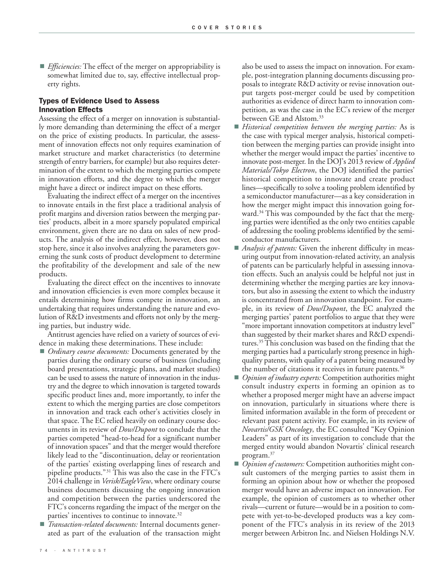**Efficiencies:** The effect of the merger on appropriability is somewhat limited due to, say, effective intellectual property rights.

#### **Types of Evidence Used to Assess Innovation Effects**

Assessing the effect of a merger on innovation is substantially more demanding than determining the effect of a merger on the price of existing products. In particular, the assessment of innovation effects not only requires examination of market structure and market characteristics (to determine strength of entry barriers, for example) but also requires determination of the extent to which the merging parties compete in innovation efforts, and the degree to which the merger might have a direct or indirect impact on these efforts.

Evaluating the indirect effect of a merger on the incentives to innovate entails in the first place a traditional analysis of profit margins and diversion ratios between the merging parties' products, albeit in a more sparsely populated empirical environment, given there are no data on sales of new products. The analysis of the indirect effect, however, does not stop here, since it also involves analyzing the parameters governing the sunk costs of product development to determine the profitability of the development and sale of the new products.

Evaluating the direct effect on the incentives to innovate and innovation efficiencies is even more complex because it entails determining how firms compete in innovation, an undertaking that requires understanding the nature and evolution of R&D investments and efforts not only by the merging parties, but industry wide.

Antitrust agencies have relied on a variety of sources of evidence in making these determinations. These include:

- *Ordinary course documents:* Documents generated by the parties during the ordinary course of business (including board presentations, strategic plans, and market studies) can be used to assess the nature of innovation in the industry and the degree to which innovation is targeted towards specific product lines and, more importantly, to infer the extent to which the merging parties are close competitors in innovation and track each other's activities closely in that space. The EC relied heavily on ordinary course documents in its review of *Dow/Dupont* to conclude that the parties competed "head-to-head for a significant number of innovation spaces" and that the merger would therefore likely lead to the "discontinuation, delay or reorientation of the parties' existing overlapping lines of research and pipeline products."31 This was also the case in the FTC's 2014 challenge in *Verisk/EagleView*, where ordinary course business documents discussing the ongoing innovation and competition between the parties underscored the FTC's concerns regarding the impact of the merger on the parties' incentives to continue to innovate.<sup>32</sup>
- *Transaction-related documents:* Internal documents generated as part of the evaluation of the transaction might

also be used to assess the impact on innovation. For example, post-integration planning documents discussing proposals to integrate R&D activity or revise innovation output targets post-merger could be used by competition authorities as evidence of direct harm to innovation competition, as was the case in the EC's review of the merger between GE and Alstom.<sup>33</sup>

- *Historical competition between the merging parties:* As is the case with typical merger analysis, historical competition between the merging parties can provide insight into whether the merger would impact the parties' incentive to innovate post-merger. In the DOJ's 2013 review of *Applied Materials/Tokyo Electron*, the DOJ identified the parties' historical competition to innovate and create product lines—specifically to solve a tooling problem identified by a semiconductor manufacturer—as a key consideration in how the merger might impact this innovation going forward.<sup>34</sup> This was compounded by the fact that the merging parties were identified as the only two entities capable of addressing the tooling problems identified by the semiconductor manufacturers.
- *Analysis of patents:* Given the inherent difficulty in measuring output from innovation-related activity, an analysis of patents can be particularly helpful in assessing innovation effects. Such an analysis could be helpful not just in determining whether the merging parties are key innovators, but also in assessing the extent to which the industry is concentrated from an innovation standpoint. For example, in its review of *Dow/Dupont*, the EC analyzed the merging parties' patent portfolios to argue that they were "more important innovation competitors at industry level" than suggested by their market shares and R&D expenditures.<sup>35</sup> This conclusion was based on the finding that the merging parties had a particularly strong presence in highquality patents, with quality of a patent being measured by the number of citations it receives in future patents.<sup>36</sup>
- *Opinion of industry experts:* Competition authorities might consult industry experts in forming an opinion as to whether a proposed merger might have an adverse impact on innovation, particularly in situations where there is limited information available in the form of precedent or relevant past patent activity. For example, in its review of *Novartis/GSK Oncology*, the EC consulted "Key Opinion Leaders" as part of its investigation to conclude that the merged entity would abandon Novartis' clinical research program.<sup>37</sup>
- *Opinion of customers:* Competition authorities might consult customers of the merging parties to assist them in forming an opinion about how or whether the proposed merger would have an adverse impact on innovation. For example, the opinion of customers as to whether other rivals—current or future—would be in a position to compete with yet-to-be-developed products was a key component of the FTC's analysis in its review of the 2013 merger between Arbitron Inc. and Nielsen Holdings N.V.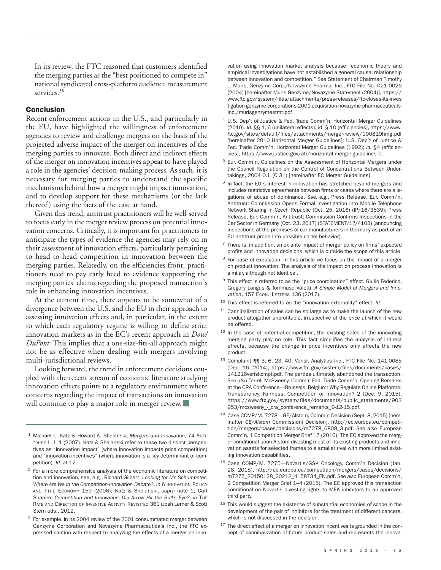In its review, the FTC reasoned that customers identified the merging parties as the "best positioned to compete in" national syndicated cross-platform audience measurement services.<sup>38</sup>

#### **Conclusion**

Recent enforcement actions in the U.S., and particularly in the EU, have highlighted the willingness of enforcement agencies to review and challenge mergers on the basis of the projected adverse impact of the merger on incentives of the merging parties to innovate. Both direct and indirect effects of the merger on innovation incentives appear to have played a role in the agencies' decision-making process. As such, it is necessary for merging parties to understand the specific mechanisms behind how a merger might impact innovation, and to develop support for these mechanisms (or the lack thereof ) using the facts of the case at hand.

Given this trend, antitrust practitioners will be well-served to focus early in the merger review process on potential innovation concerns. Critically, it is important for practitioners to anticipate the types of evidence the agencies may rely on in their assessment of innovation effects, particularly pertaining to head-to-head competition in innovation between the merging parties. Relatedly, on the efficiencies front, practitioners need to pay early heed to evidence supporting the merging parties' claims regarding the proposed transaction's role in enhancing innovation incentives.

At the current time, there appears to be somewhat of a divergence between the U.S. and the EU in their approach to assessing innovation effects and, in particular, in the extent to which each regulatory regime is willing to define strict innovation markets as in the EC's recent approach in *Dow/ DuPont*. This implies that a one-size-fits-all approach might not be as effective when dealing with mergers involving multi-jurisdictional reviews.

Looking forward, the trend in enforcement decisions coupled with the recent stream of economic literature studying innovation effects points to a regulatory environment where concerns regarding the impact of transactions on innovation will continue to play a major role in merger review.

- <sup>1</sup> Michael L. Katz & Howard A. Shelanski, Mergers and Innovation, 74 ANTI-TRUST L.J. 1 (2007). Katz & Shelanski refer to these two distinct perspectives as "innovation impact" (where innovation impacts price competition) and "innovation incentives" (where innovation is a key determinant of competition). *Id.* at 12.
- <sup>2</sup> For a more comprehensive analysis of the economic literature on competition and innovation, see, e.g., Richard Gilbert, *Looking for Mr. Schumpeter:* **Where Are We in the Competition-Innovation Debate?, in 6 INNOVATION POLICY** AND TTHE ECONOMY 159 (2006); Katz & Shelanski, *supra* note 1; Carl Shapiro, *Competition and Innovation. Did Arrow Hit the Bull's Eye?*, *in* THE RATE AND DIRECTION OF INVENTIVE ACTIVITY REVISITED 361 (Josh Lerner & Scott Stern eds., 2012.
- <sup>3</sup> For example, in its 2004 review of the 2001 consummated merger between Genzyme Corporation and Novazyme Pharmaceuticals Inc., the FTC expressed caution with respect to analyzing the effects of a merger on inno-

vation using innovation market analysis because "economic theory and empirical investigations have not established a general causal relationship between innovation and competition." *See* Statement of Chairman Timothy J. Muris, Genzyme Corp./Novazyme Pharma. Inc., FTC File No. 021 0026 (2004) [hereinafter Muris Genzyme/Novazyme Statement (2004)], https:// www.ftc.gov/system/files/attachments/press-releases/ftc-closes-its-inves tigation-genzyme-corporations-2001-acquisition-novazyme-pharmaceuticalsinc./murisgenzymestmt.pdf.

- <sup>4</sup> U.S. Dep't of Justice & Fed. Trade Comm'n, Horizontal Merger Guidelines (2010). *Id.* §§ 1, 6 (unilateral effects); id. § 10 (efficiencies), https://www. ftc.gov/sites/default/files/attachments/merger-review/100819hmg.pdf [hereinafter 2010 Horizontal Merger Guidelines]; U.S. Dep't of Justice & Fed. Trade Comm'n, Horizontal Merger Guidelines (1992); *id.* §4 (efficiencies), https://www.justice.gov/atr/horizontal-merger-guidelines-0.
- <sup>5</sup> Eur. Comm'n, Guidelines on the Assessment of Horizontal Mergers under the Council Regulation on the Control of Concentrations Between Undertakings, 2004 O.J. (C 31) [hereinafter EC Merger Guidelines].
- $6$  In fact, the EU's interest in innovation has stretched beyond mergers and includes restrictive agreements between firms or cases where there are allegations of abuse of dominance. *See, e.g.*, Press Release, Eur. Comm'n, Antitrust: Commission Opens Formal Investigation into Mobile Telephone Network Sharing in Czech Republic (Oct. 25, 2016) (IP/16/3539); Press Release, Eur. Comm'n, Antitrust: Commission Confirms Inspections in the Car Sector in Germany (Oct. 23, 2017) (STATEMENT/17/4103) (announcing inspections at the premises of car manufacturers in Germany as part of an EU antitrust probe into possible cartel behavior).
- $7$  There is, in addition, an ex ante impact of merger policy on firms' expected profits and innovation decisions, which is outside the scope of this article.
- <sup>8</sup> For ease of exposition, in this article we focus on the impact of a merger on product innovation. The analysis of the impact on process innovation is similar, although not identical.
- <sup>9</sup> This effect is referred to as the "price coordination" effect. Giulio Federico, Gregory Langus & Tommaso Valetti, *A Simple Model of Mergers and Inno vation*, 157 Econ. LETTERS 136 (2017).
- <sup>10</sup> This effect is referred to as the "innovation externality" effect. *Id.*
- $11$  Cannibalization of sales can be so large as to make the launch of the new product altogether unprofitable, irrespective of the price at which it would be offered.
- $12$  In the case of potential competition, the existing sales of the innovating merging party play no role. This fact simplifies the analysis of indirect effects, because the change in price incentives only affects the new product.
- 13 Complaint  $\P$  3, 6, 23, 40, Verisk Analytics Inc., FTC File No. 141-0085 (Dec. 16, 2014), https://www.ftc.gov/system/files/documents/cases/ 141216veriskcmpt.pdf. The parties ultimately abandoned the transaction. *See also* Terrell McSweeny, Comm'r, Fed. Trade Comm'n, Opening Remarks at the CRA Conference—Brussels, Belgium: Why Regulate Online Platforms: Transparency, Fairness, Competition or Innovation? 2 (Dec. 9, 2015), https://www.ftc.gov/system/files/documents/public\_statements/903 953/mcsweeny\_-\_cra\_conference\_remarks\_9-12-15.pdf.
- <sup>14</sup> Case COMP/M. 7278—GE/Alstom, Comm'n Decision (Sept. 8, 2015) [hereinafter *GE/Alstom* Commissioni Decision], http://ec.europa.eu/competition/mergers/cases/decisions/m7278\_6808\_3.pdf. *See also* European Comm'n, 1 Competition Merger Brief 17 (2016). The EC approved the merger conditional upon Alstom divesting most of its existing products and innovation assets for selected frames to a smaller rival with more limited existing innovation capabilities.
- <sup>15</sup> Case COMP/M. 7275—Novartis/GSK Oncology, Comm'n Decision (Jan. 28, 2015), http://ec.europa.eu/competition/mergers/cases/decisions/ m7275\_20150128\_20212\_4158734\_EN.pdf. *See also* European Comm'n, 2 Competition Merger Brief 1–4 (2015). The EC approved this transaction conditional on Novartis divesting rights to MEK inhibitors to an approved third party.
- <sup>16</sup> This would suggest the existence of substantial economies of scope in the development of the pair of inhibitors for the treatment of different cancers, which is not discussed in the decision.
- $17$  The direct effect of a merger on innovation incentives is grounded in the concept of cannibalization of future product sales and represents the innova-